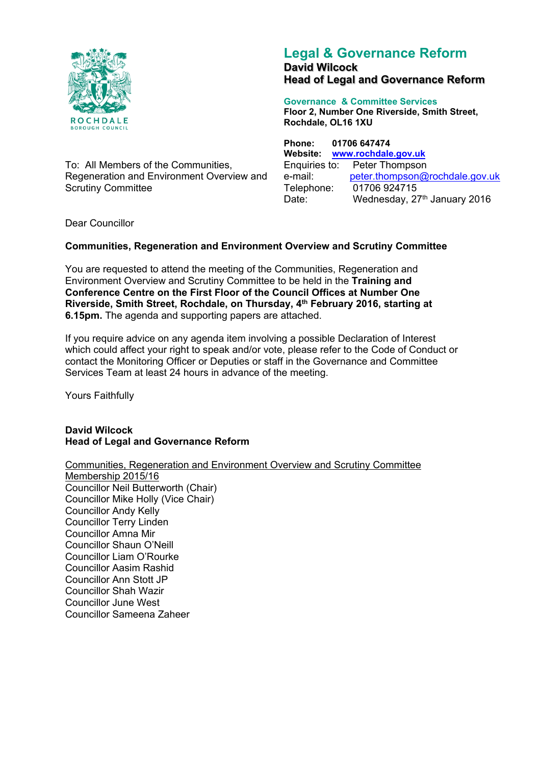

To: All Members of the Communities, Regeneration and Environment Overview and Scrutiny Committee

# **Legal & Governance Reform David Wilcock Head of Legal and Governance Reform**

**Governance & Committee Services Floor 2, Number One Riverside, Smith Street, Rochdale, OL16 1XU**

**Phone: 01706 647474 Website: [www.rochdale.gov.uk](http://www.rochdale.gov.uk/)** Enquiries to: Peter Thompson e-mail: [peter.thompson@rochdale.gov.uk](mailto:peter.thompson@rochdale.gov.uk) Telephone: 01706 924715 Date: Wednesday, 27<sup>th</sup> January 2016

Dear Councillor

# **Communities, Regeneration and Environment Overview and Scrutiny Committee**

You are requested to attend the meeting of the Communities, Regeneration and Environment Overview and Scrutiny Committee to be held in the **Training and Conference Centre on the First Floor of the Council Offices at Number One Riverside, Smith Street, Rochdale, on Thursday, 4 th February 2016, starting at 6.15pm.** The agenda and supporting papers are attached.

If you require advice on any agenda item involving a possible Declaration of Interest which could affect your right to speak and/or vote, please refer to the Code of Conduct or contact the Monitoring Officer or Deputies or staff in the Governance and Committee Services Team at least 24 hours in advance of the meeting.

Yours Faithfully

**David Wilcock Head of Legal and Governance Reform**

Communities, Regeneration and Environment Overview and Scrutiny Committee Membership 2015/16 Councillor Neil Butterworth (Chair) Councillor Mike Holly (Vice Chair) Councillor Andy Kelly Councillor Terry Linden Councillor Amna Mir Councillor Shaun O'Neill Councillor Liam O'Rourke Councillor Aasim Rashid Councillor Ann Stott JP Councillor Shah Wazir Councillor June West

Councillor Sameena Zaheer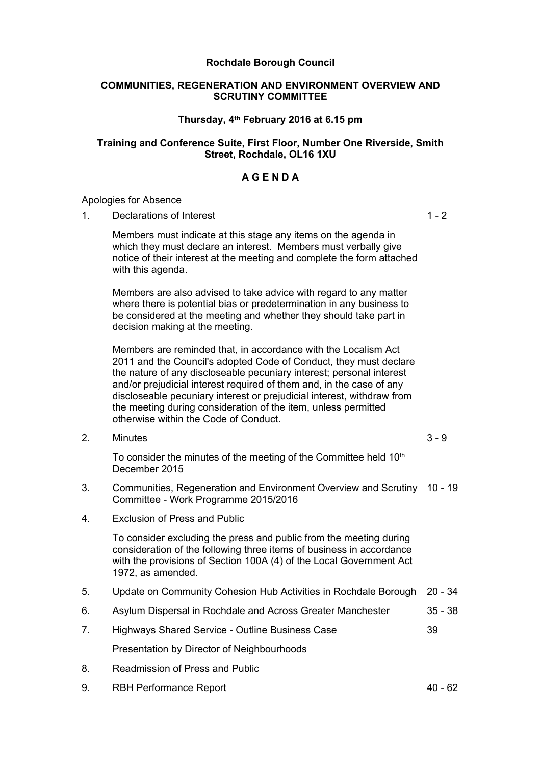### **Rochdale Borough Council**

#### **COMMUNITIES, REGENERATION AND ENVIRONMENT OVERVIEW AND SCRUTINY COMMITTEE**

## **Thursday, 4 th February 2016 at 6.15 pm**

### **Training and Conference Suite, First Floor, Number One Riverside, Smith Street, Rochdale, OL16 1XU**

# **A G E N D A**

#### Apologies for Absence

1. Declarations of Interest 1 - 2

Members must indicate at this stage any items on the agenda in which they must declare an interest. Members must verbally give notice of their interest at the meeting and complete the form attached with this agenda.

Members are also advised to take advice with regard to any matter where there is potential bias or predetermination in any business to be considered at the meeting and whether they should take part in decision making at the meeting.

Members are reminded that, in accordance with the Localism Act 2011 and the Council's adopted Code of Conduct, they must declare the nature of any discloseable pecuniary interest; personal interest and/or prejudicial interest required of them and, in the case of any discloseable pecuniary interest or prejudicial interest, withdraw from the meeting during consideration of the item, unless permitted otherwise within the Code of Conduct.

2. Minutes 3 - 9

To consider the minutes of the meeting of the Committee held 10<sup>th</sup> December 2015

- 3. Communities, Regeneration and Environment Overview and Scrutiny 10 19 Committee - Work Programme 2015/2016
- 4. Exclusion of Press and Public

To consider excluding the press and public from the meeting during consideration of the following three items of business in accordance with the provisions of Section 100A (4) of the Local Government Act 1972, as amended.

- 5. Update on Community Cohesion Hub Activities in Rochdale Borough 20 34
- 6. Asylum Dispersal in Rochdale and Across Greater Manchester 35 38
- 7. Highways Shared Service Outline Business Case 39

Presentation by Director of Neighbourhoods

- 8. Readmission of Press and Public
- 9. RBH Performance Report 40 62